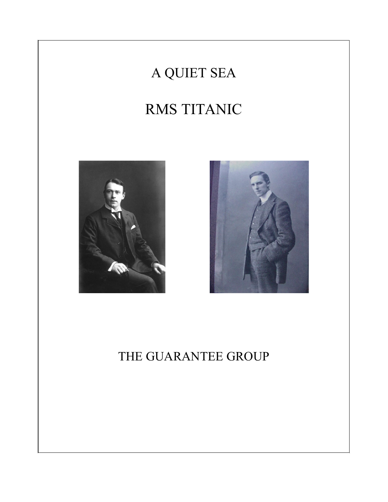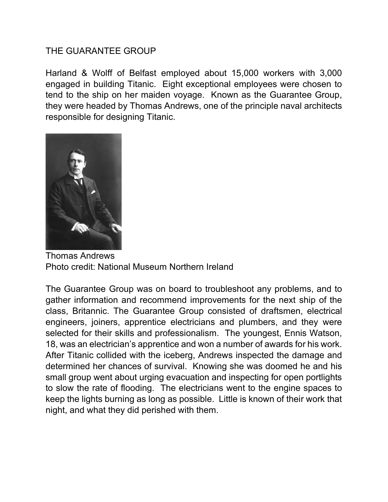## THE GUARANTEE GROUP

Harland & Wolff of Belfast employed about 15,000 workers with 3,000 engaged in building Titanic. Eight exceptional employees were chosen to tend to the ship on her maiden voyage. Known as the Guarantee Group, they were headed by Thomas Andrews, one of the principle naval architects responsible for designing Titanic.



Thomas Andrews Photo credit: National Museum Northern Ireland

The Guarantee Group was on board to troubleshoot any problems, and to gather information and recommend improvements for the next ship of the class, Britannic. The Guarantee Group consisted of draftsmen, electrical engineers, joiners, apprentice electricians and plumbers, and they were selected for their skills and professionalism. The youngest, Ennis Watson, 18, was an electrician's apprentice and won a number of awards for his work. After Titanic collided with the iceberg, Andrews inspected the damage and determined her chances of survival. Knowing she was doomed he and his small group went about urging evacuation and inspecting for open portlights to slow the rate of flooding. The electricians went to the engine spaces to keep the lights burning as long as possible. Little is known of their work that night, and what they did perished with them.